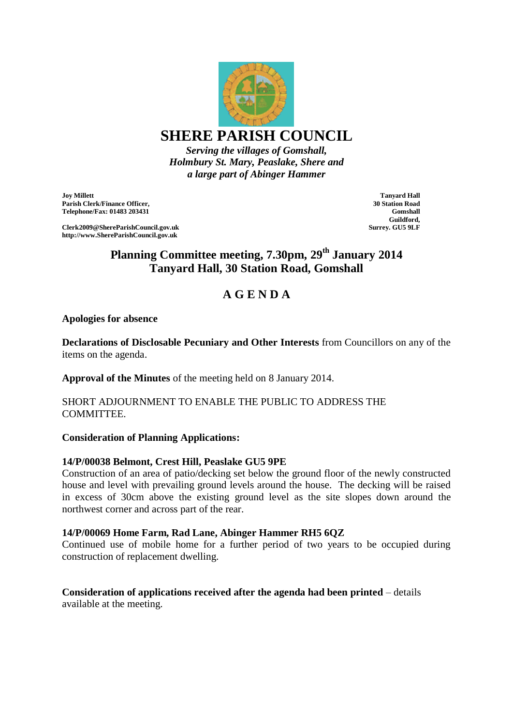

**SHERE PARISH COUNCIL**

*Serving the villages of Gomshall, Holmbury St. Mary, Peaslake, Shere and a large part of Abinger Hammer*

**Joy Millett Parish Clerk/Finance Officer, Telephone/Fax: 01483 203431**

**Clerk2009@ShereParishCouncil.gov.uk http://www.ShereParishCouncil.gov.uk**

**Tanyard Hall 30 Station Road Gomshall Guildford, Surrey. GU5 9LF**

**Planning Committee meeting, 7.30pm, 29th January 2014 Tanyard Hall, 30 Station Road, Gomshall**

# **A G E N D A**

## **Apologies for absence**

**Declarations of Disclosable Pecuniary and Other Interests** from Councillors on any of the items on the agenda.

**Approval of the Minutes** of the meeting held on 8 January 2014.

## SHORT ADJOURNMENT TO ENABLE THE PUBLIC TO ADDRESS THE **COMMITTEE.**

# **Consideration of Planning Applications:**

# **14/P/00038 Belmont, Crest Hill, Peaslake GU5 9PE**

Construction of an area of patio/decking set below the ground floor of the newly constructed house and level with prevailing ground levels around the house. The decking will be raised in excess of 30cm above the existing ground level as the site slopes down around the northwest corner and across part of the rear.

### **14/P/00069 Home Farm, Rad Lane, Abinger Hammer RH5 6QZ**

Continued use of mobile home for a further period of two years to be occupied during construction of replacement dwelling.

# **Consideration of applications received after the agenda had been printed** – details available at the meeting.